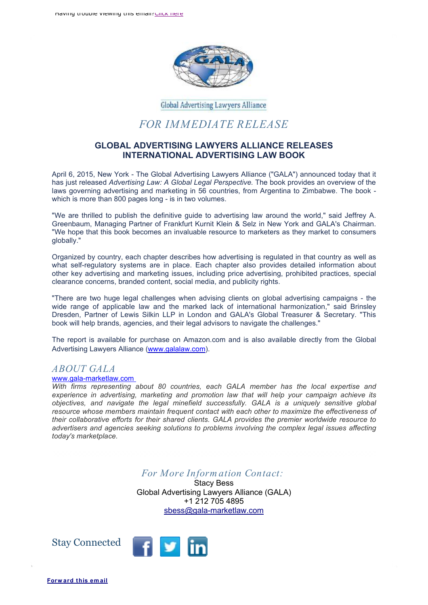

Global Advertising Lawyers Alliance

## *FOR IMMEDIATE RELEASE*

## **GLOBAL ADVERTISING LAWYERS ALLIANCE RELEASES INTERNATIONAL ADVERTISING LAW BOOK**

April 6, 2015, New York - The Global Advertising Lawyers Alliance ("GALA") announced today that it has just released *Advertising Law: A Global Legal Perspective.* The book provides an overview of the laws governing advertising and marketing in 56 countries, from Argentina to Zimbabwe. The book which is more than 800 pages long - is in two volumes.

"We are thrilled to publish the definitive guide to advertising law around the world," said Jeffrey A. Greenbaum, Managing Partner of Frankfurt Kurnit Klein & Selz in New York and GALA's Chairman. "We hope that this book becomes an invaluable resource to marketers as they market to consumers globally."

Organized by country, each chapter describes how advertising is regulated in that country as well as what self-regulatory systems are in place. Each chapter also provides detailed information about other key advertising and marketing issues, including price advertising, prohibited practices, special clearance concerns, branded content, social media, and publicity rights.

"There are two huge legal challenges when advising clients on global advertising campaigns - the wide range of applicable law and the marked lack of international harmonization," said Brinsley Dresden, Partner of Lewis Silkin LLP in London and GALA's Global Treasurer & Secretary. "This book will help brands, agencies, and their legal advisors to navigate the challenges."

The report is available for purchase on Amazon.com and is also available directly from the Global Advertising Lawyers Alliance ([www.galalaw.com](http://www.galalaw.com)).

## *ABOUT GALA*

## [www.gala-marketlaw.com](http://www.gala-marketlaw.com)

*With firms representing about 80 countries, each GALA member has the local expertise and experience in advertising, marketing and promotion law that will help your campaign achieve its objectives, and navigate the legal minefield successfully. GALA is a uniquely sensitive global resource whose members maintain frequent contact with each other to maximize the effectiveness of their collaborative efforts for their shared clients. GALA provides the premier worldwide resource to advertisers and agencies seeking solutions to problems involving the complex legal issues affecting today's marketplace.*

*For More Inform ation Contact:* 

Stacy Bess Global Advertising Lawyers Alliance (GALA) +1 212 705 4895 [sbess@gala-marketlaw.com](mailto:sbess@gala-marketlaw.com)

Stay Connected